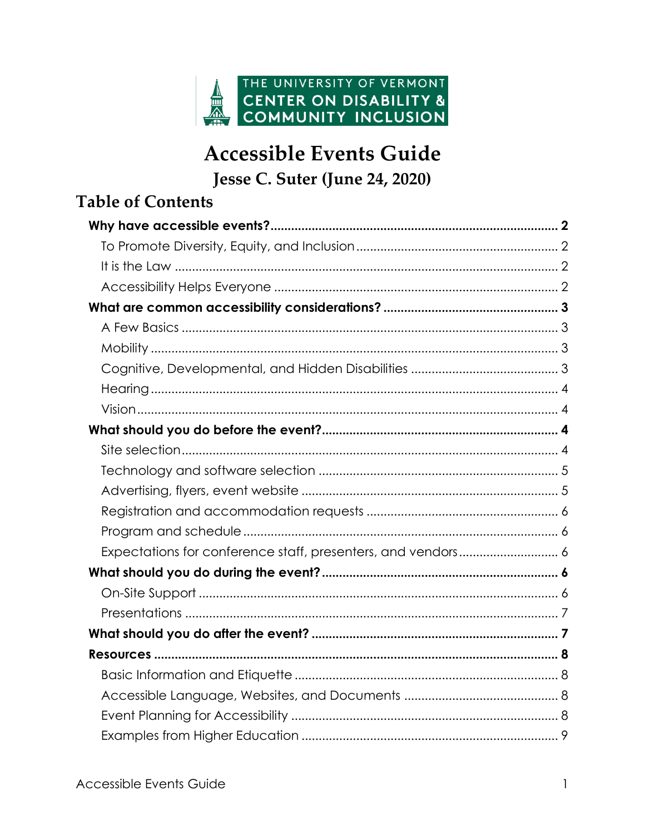

# **Accessible Events Guide** Jesse C. Suter (June 24, 2020)

# **Table of Contents** Expectations for conference staff, presenters, and vendors............................ 6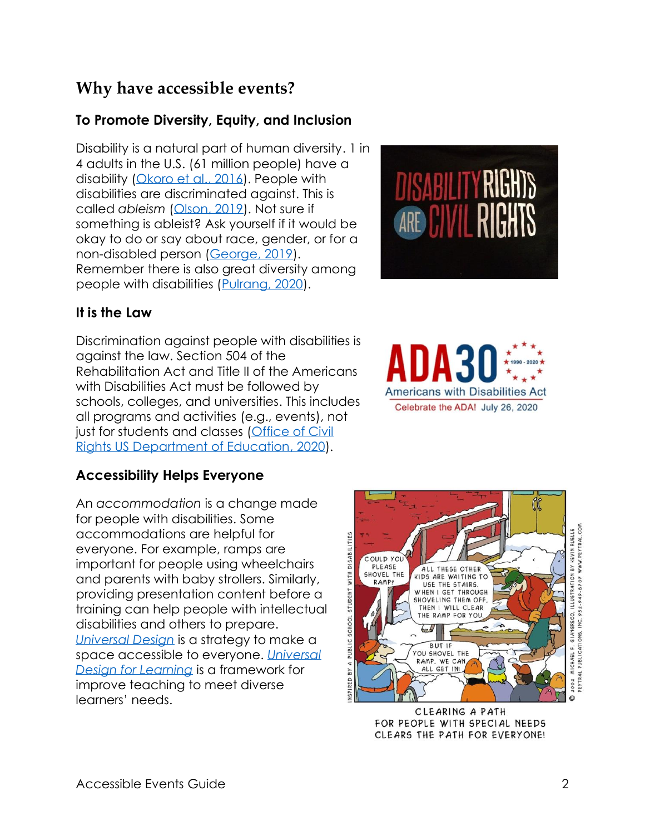# <span id="page-1-0"></span>**[Why have accessible events?](#page-8-1)**

### <span id="page-1-1"></span>**[To](#page-8-1) Promote Diversity, Equity, and Inclusion**

Disability is a natural part of human diversity. 1 in 4 adults in the U.S. (61 million people) have a disability [\(Okoro et al., 2016](http://dx.doi.org/10.15585/mmwr.mm6732a3)). People with [dis](http://dx.doi.org/10.15585/mmwr.mm6732a3)abilities are discriminated against. This is called *ableism* [\(Olson, 2019](https://www.accessliving.org/newsroom/blog/ableism-101/) ) . [Not sure](https://www.accessliving.org/newsroom/blog/ableism-101/) if something is ableist? Ask yourself if it would be okay to do or say about race, gender, or for a non-disabled person [\(George, 2019](https://autisticmama.com/know-something-ableist/)[\)](https://autisticmama.com/know-something-ableist/). [Remember](https://autisticmama.com/know-something-ableist/) there is also great diversity among<br>people with disabilities [\(Pulrang, 2020\).](https://www.forbes.com/sites/andrewpulrang/2020/01/03/4-ways-to-understand-the-diversity-of-the-disability-community/#59ed3bc3d3e8)

#### <span id="page-1-6"></span><span id="page-1-2"></span>**It is [the](https://www.forbes.com/sites/andrewpulrang/2020/01/03/4-ways-to-understand-the-diversity-of-the-disability-community/#59ed3bc3d3e8) Law**

Discrimination against people with disabilities is against the law. Section 504 of the Rehabilitation Act and Title II of the Americans with Disabilities Act must be followed by schools, colleges, and universities. This includes all programs and activities (e.g., events), not just for students and classes [\(Office of Civil](https://www2.ed.gov/about/offices/list/ocr/frontpage/faq/disability.html)  [Rights US Department of Education, 2020](https://www2.ed.gov/about/offices/list/ocr/frontpage/faq/disability.html) ) .

#### <span id="page-1-3"></span>**[Accessibility Helps Everyone](https://www2.ed.gov/about/offices/list/ocr/frontpage/faq/disability.html)**

An *[accommodation](https://www2.ed.gov/about/offices/list/ocr/frontpage/faq/disability.html)* is a change made for people with disabilities. Some accommodations are helpful for everyone. For example , ramps are important for people using wheelchairs and parents with baby strollers. Similarly, providing presentation content before a training can help people with intellectual disabilities and others to prepare. *[Universal](http://universaldesign.ie/What-is-Universal-Design/)  Design* is a strategy to make a space accessib[le to everyone](http://universaldesign.ie/What-is-Universal-Design/). *[Universal Design for Learning](http://www.cast.org/our-work/about-udl.html)* is a framework for improve teaching [to meet diverse](http://www.cast.org/our-work/about-udl.html) [learners'](http://www.cast.org/our-work/about-udl.html) needs .

<span id="page-1-5"></span><span id="page-1-4"></span>



<span id="page-1-7"></span>

CLEARING A PATH FOR PEOPLE WITH SPECIAL NEEDS CLEARS THE PATH FOR EVERYONE!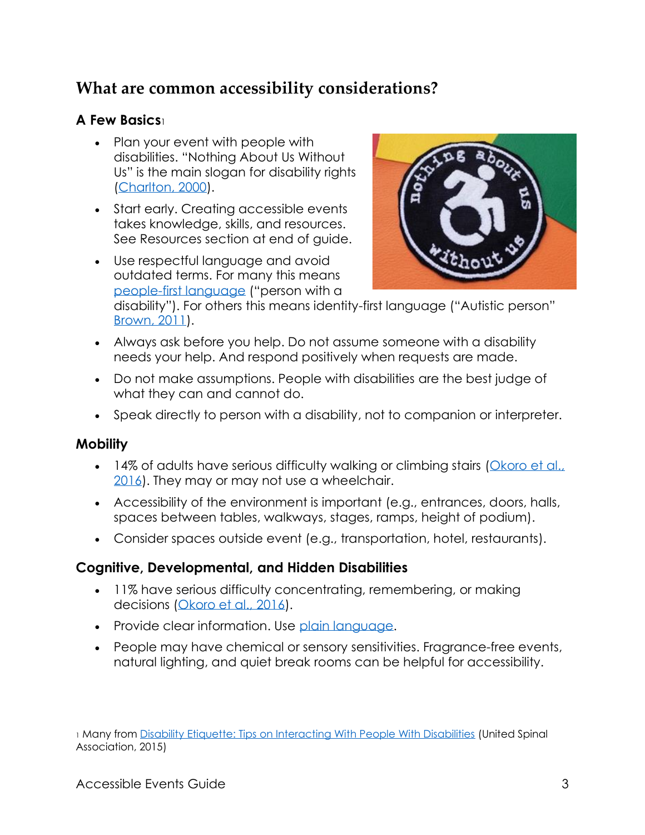# <span id="page-2-0"></span>**What are common accessibility considerations?**

### <span id="page-2-1"></span>**A Few Basics**<sup>1</sup>

- <span id="page-2-6"></span>• Plan your event with people with disabilities. "Nothing About Us Without Us" is the main slogan for disability rights [\(Charlton, 2000\).](https://www.ucpress.edu/book/9780520224810/nothing-about-us-without-us)
- [Start earl](https://www.ucpress.edu/book/9780520224810/nothing-about-us-without-us)y. Creating accessible events takes knowledge, skills, and resources. See Resources section at end of guide.
- Use respectful language and avoid outdated terms. For many this means [people-first language](https://askearn.org/topics/retention-advancement/disability-etiquette/people-first-language/) [\("person with a](https://askearn.org/topics/retention-advancement/disability-etiquette/people-first-language/)

<span id="page-2-5"></span>

[disa](https://askearn.org/topics/retention-advancement/disability-etiquette/people-first-language/)bility"). For others this means identity-first language ("Autistic person" [Brown, 2011\).](https://www.autistichoya.com/2011/08/significance-of-semantics-person-first.html) 

- [Always](https://www.autistichoya.com/2011/08/significance-of-semantics-person-first.html) ask before you help. Do not assume someone with a disability needs your help. And respond positively when requests are made.
- Do not make assumptions. People with disabilities are the best judge of what they can and cannot do.
- Speak directly to person with a disability, not to companion or interpreter.

#### <span id="page-2-2"></span>**Mobility**

- <span id="page-2-7"></span>• 14% of adults have serious difficulty walking or climbing stairs (Okoro et al., [2016\)](http://dx.doi.org/10.15585/mmwr.mm6732a3). [They may or may](http://dx.doi.org/10.15585/mmwr.mm6732a3) not use a wheelchair.
- Accessibility of the environment is important (e.g., entrances, doors, halls, spaces between tables, walkways, stages, ramps, height of podium).
- Consider spaces outside event (e.g., transportation, hotel, restaurants).

### <span id="page-2-3"></span>**Cognitive, Developmental, and Hidden Disabilities**

- <span id="page-2-8"></span>• 11% have serious difficulty concentrating, remembering, or making decisions [\(Okoro et al., 2016\).](http://dx.doi.org/10.15585/mmwr.mm6732a3)
- [Provide clear i](http://dx.doi.org/10.15585/mmwr.mm6732a3)nformation. Use plain language.
- <span id="page-2-4"></span>• People may have chemical or sensory sensitivities. Fragrance-free events, [natural lightin](https://selfadvocacyinfo.org/resource/plain-language/)g, and quiet break rooms can be helpful for accessibility.

<sup>1</sup> Many from [Disability Etiquette: Tips on Interacting With People With Disabilities](https://unitedspinal.org/disability-etiquette/) (United Spinal Association, 2015)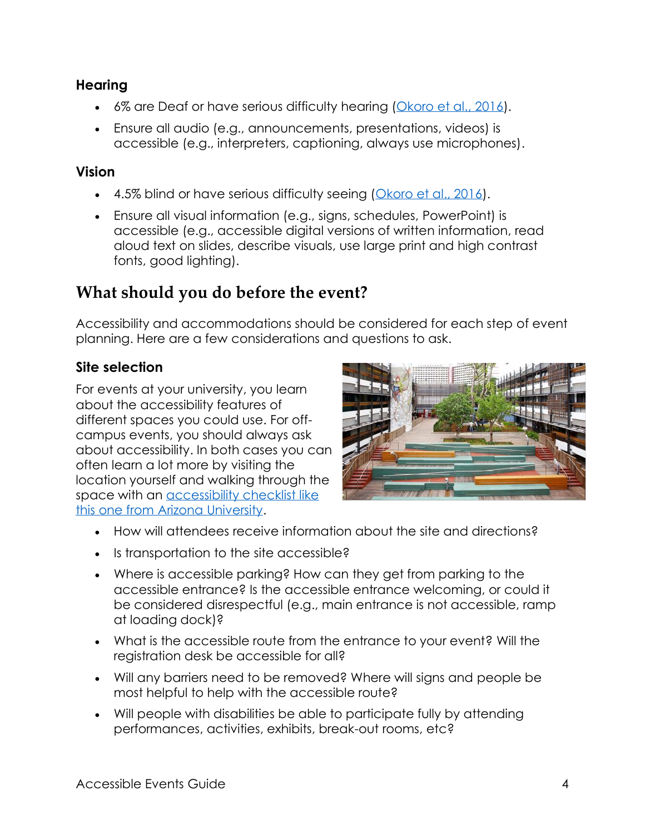#### **Hearing**

- <span id="page-3-3"></span>• 6% are Deaf or have serious difficulty hearing [\(Okoro et al., 2016\).](http://dx.doi.org/10.15585/mmwr.mm6732a3)
- [Ensure all audi](http://dx.doi.org/10.15585/mmwr.mm6732a3)o (e.g., announcements, presentations, videos) is accessible (e.g., interpreters, captioning, always use microphones).

#### <span id="page-3-0"></span>**Vision**

- <span id="page-3-4"></span>• 4.5% blind or have serious difficulty seeing [\(Okoro et al., 2016\).](http://dx.doi.org/10.15585/mmwr.mm6732a3)
- [Ensure all visu](http://dx.doi.org/10.15585/mmwr.mm6732a3)al information (e.g., signs, schedules, PowerPoint) is accessible (e.g., accessible digital versions of written information, read aloud text on slides, describe visuals, use large print and high contrast fonts, good lighting).

# <span id="page-3-1"></span>**What should you do before the event?**

Accessibility and accommodations should be considered for each step of event planning. Here are a few considerations and questions to ask.

### <span id="page-3-6"></span><span id="page-3-2"></span>**Site selection**

For events at your university, you learn about the accessibility features of different spaces you could use. For offcampus events, you should always ask about accessibility. In both cases you can often learn a lot more by visiting the location yourself and walking through the space with an [accessibility checklist](https://drc.arizona.edu/sites/drc.arizona.edu/files/documents/Planning-Accessible-Events.pdf) like [this one from Arizona University.](https://drc.arizona.edu/sites/drc.arizona.edu/files/documents/Planning-Accessible-Events.pdf) 

<span id="page-3-5"></span>

- [How will attendees receive information about the site and d](https://drc.arizona.edu/sites/drc.arizona.edu/files/documents/Planning-Accessible-Events.pdf)irections?
- Is transportation to the site accessible?
- Where is accessible parking? How can they get from parking to the accessible entrance? Is the accessible entrance welcoming, or could it be considered disrespectful (e.g., main entrance is not accessible, ramp at loading dock)?
- What is the accessible route from the entrance to your event? Will the registration desk be accessible for all?
- Will any barriers need to be removed? Where will signs and people be most helpful to help with the accessible route?
- Will people with disabilities be able to participate fully by attending performances, activities, exhibits, break-out rooms, etc?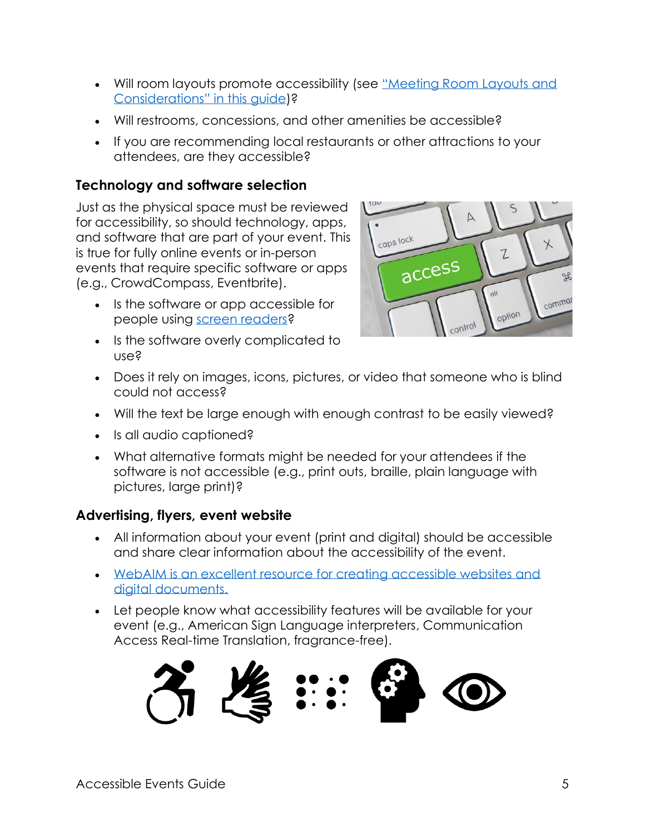- Will room layouts promote accessibility (see "Meeting Room Layouts and [Considerations" in this guide](https://www.adahospitality.org/accessible-meetings-events-conferences-guide/book)[\)?](https://www.adahospitality.org/accessible-meetings-events-conferences-guide/book)
- [Will restrooms, concessions, and other amenities be](https://www.adahospitality.org/accessible-meetings-events-conferences-guide/book) accessible?
- If you are recommending local restaurants or other attractions to your attendees, are they accessible?

#### <span id="page-4-0"></span>**Technology and software selection**

Just as the physical space must be reviewed for accessibility, so should technology, apps, and software that are part of your event. This is true for fully online events or in-person events that require specific software or apps (e.g., CrowdCompass, Eventbrite).

- Is the software or app accessible for people using [screen readers?](https://www.afb.org/blindness-and-low-vision/using-technology/assistive-technology-products/screen-readers)
- [Is the softw](https://www.afb.org/blindness-and-low-vision/using-technology/assistive-technology-products/screen-readers)are overly complicated to use?

<span id="page-4-3"></span>

- Does it rely on images, icons, pictures, or video that someone who is blind could not access?
- Will the text be large enough with enough contrast to be easily viewed?
- Is all audio captioned?
- What alternative formats might be needed for your attendees if the software is not accessible (e.g., print outs, braille, plain language with pictures, large print)?

#### <span id="page-4-1"></span>**Advertising, flyers, event website**

- <span id="page-4-4"></span>• All information about your event (print and digital) should be accessible and share clear information about the accessibility of the event.
- [WebAIM is an excellent resource for creating accessible websites and](https://webaim.org/)  [digital documents.](https://webaim.org/)
- [Let people know what accessibility features will be available for your](https://webaim.org/) [event \(e.g., Am](https://webaim.org/)erican Sign Language interpreters, Communication Access Real-time Translation, fragrance-free).

<span id="page-4-2"></span>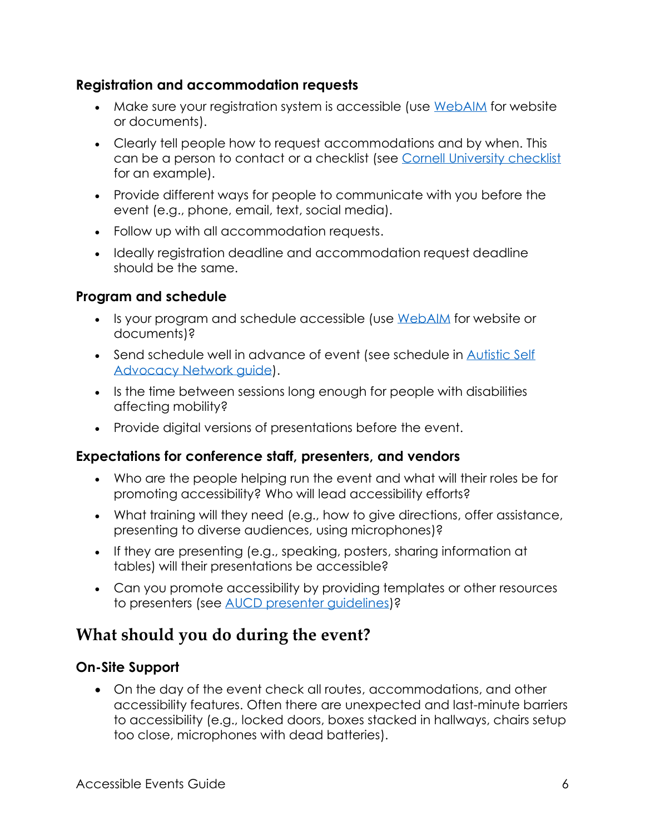#### **Registration and accommodation requests**

- <span id="page-5-4"></span>• Make sure your registration system is accessible (use [WebAIM](https://webaim.org/) [for we](https://webaim.org/)bsite or documents).
- Clearly tell people how to request accommodations and by when. This can be a person to contact or a checklist (see [Cornell University checklist](https://accessibility.cornell.edu/event-planning/accessible-meeting-and-event-checklist/) [for an example\).](https://accessibility.cornell.edu/event-planning/accessible-meeting-and-event-checklist/)
- [Provide di](https://accessibility.cornell.edu/event-planning/accessible-meeting-and-event-checklist/)fferent ways for people to communicate with you before the event (e.g., phone, email, text, social media).
- Follow up with all accommodation requests.
- Ideally registration deadline and accommodation request deadline should be the same.

#### <span id="page-5-0"></span>**Program and schedule**

- <span id="page-5-5"></span>• Is your program and schedule accessible (use [WebAIM](https://webaim.org/) [for w](https://webaim.org/)ebsite or documents)?
- Send schedule well in advance of event (see schedule in Autistic Self [Advocacy Network](https://autisticadvocacy.org/wp-content/uploads/2019/05/Accessible-Event-Planning.pdf) guid[e\).](https://autisticadvocacy.org/wp-content/uploads/2019/05/Accessible-Event-Planning.pdf)
- [Is the time between sessions](https://autisticadvocacy.org/wp-content/uploads/2019/05/Accessible-Event-Planning.pdf) long enough for people with disabilities affecting mobility?
- Provide digital versions of presentations before the event.

#### <span id="page-5-1"></span>**Expectations for conference staff, presenters, and vendors**

- <span id="page-5-6"></span>• Who are the people helping run the event and what will their roles be for promoting accessibility? Who will lead accessibility efforts?
- What training will they need (e.g., how to give directions, offer assistance, presenting to diverse audiences, using microphones)?
- If they are presenting (e.g., speaking, posters, sharing information at tables) will their presentations be accessible?
- Can you promote accessibility by providing templates or other resources to presenters (see [AUCD presenter guidelines\)?](https://www.aucd.org/conference/template/page.cfm?id=50244)

# <span id="page-5-2"></span>**[What should you do dur](https://www.aucd.org/conference/template/page.cfm?id=50244)ing the event?**

#### <span id="page-5-3"></span>**On-Site Support**

<span id="page-5-8"></span><span id="page-5-7"></span>• On the day of the event check all routes, accommodations, and other accessibility features. Often there are unexpected and last-minute barriers to accessibility (e.g., locked doors, boxes stacked in hallways, chairs setup too close, microphones with dead batteries).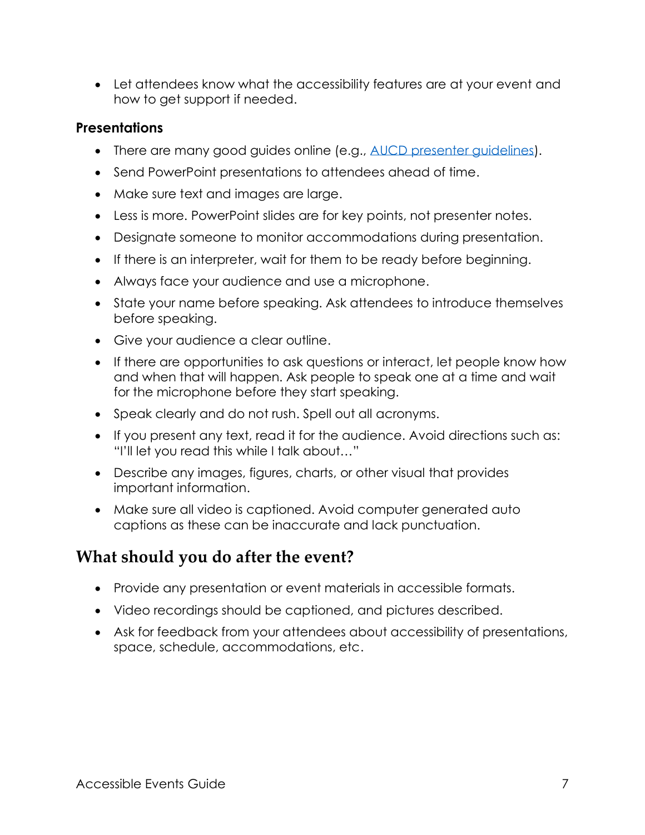• Let attendees know what the accessibility features are at your event and how to get support if needed.

### <span id="page-6-0"></span>**Presentations**

- <span id="page-6-3"></span>• There are many good guides online (e.g., [AUCD presenter guidelines\).](https://www.aucd.org/conference/template/page.cfm?id=50244)
- [Send PowerPoint presen](https://www.aucd.org/conference/template/page.cfm?id=50244)tations to attendees ahead of time.
- Make sure text and images are large.
- Less is more. PowerPoint slides are for key points, not presenter notes.
- Designate someone to monitor accommodations during presentation.
- If there is an interpreter, wait for them to be ready before beginning.
- Always face your audience and use a microphone.
- State your name before speaking. Ask attendees to introduce themselves before speaking.
- Give your audience a clear outline.
- If there are opportunities to ask questions or interact, let people know how and when that will happen. Ask people to speak one at a time and wait for the microphone before they start speaking.
- Speak clearly and do not rush. Spell out all acronyms.
- If you present any text, read it for the audience. Avoid directions such as: "I'll let you read this while I talk about…"
- Describe any images, figures, charts, or other visual that provides important information.
- Make sure all video is captioned. Avoid computer generated auto captions as these can be inaccurate and lack punctuation.

# <span id="page-6-1"></span>**What should you do after the event?**

- <span id="page-6-4"></span>• Provide any presentation or event materials in accessible formats.
- Video recordings should be captioned, and pictures described.
- <span id="page-6-2"></span>• Ask for feedback from your attendees about accessibility of presentations, space, schedule, accommodations, etc.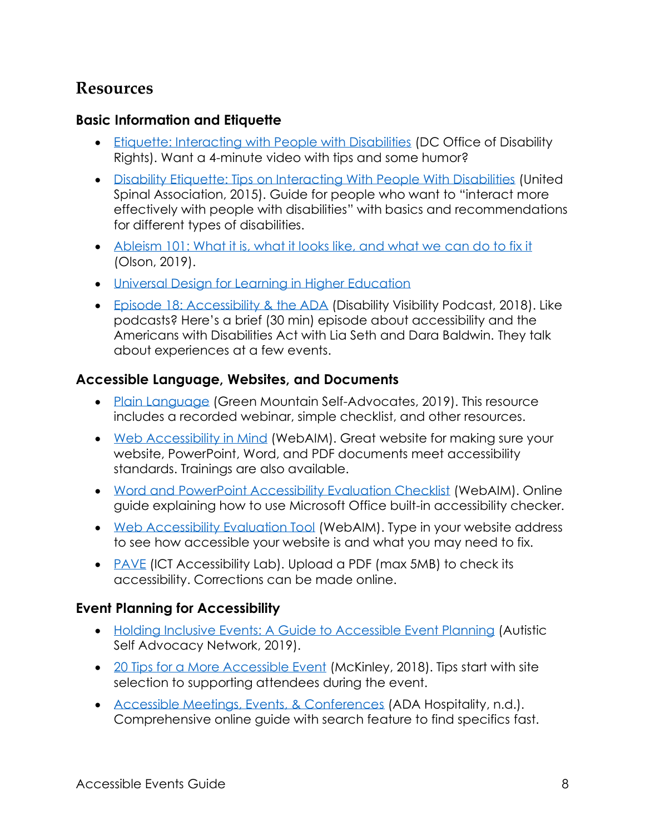## <span id="page-7-3"></span>**Resources**

#### <span id="page-7-0"></span>**Basic Information and Etiquette**

- <span id="page-7-4"></span>• [Etiquette: Interacting with People with Disabilities](https://www.respectability.org/inclusion-toolkits/etiquette-interacting-with-people-with-disabilities/) [\(DC Office of Disability](https://www.respectability.org/inclusion-toolkits/etiquette-interacting-with-people-with-disabilities/) [Rights\). Want](https://www.respectability.org/inclusion-toolkits/etiquette-interacting-with-people-with-disabilities/) a 4-minute video with tips and some humor?
- [Disability Etiquette: Tips on Interacting With People With Disabilities](https://unitedspinal.org/disability-etiquette/) [\(United](https://unitedspinal.org/disability-etiquette/) [Spinal Association, 2015\). Guide for people who want to](https://unitedspinal.org/disability-etiquette/) "interact more effectively with people with disabilities" with basics and recommendations for different types of disabilities.
- [Ableism 101: What it is, what it looks like, and what we can do to fix it](https://www.accessliving.org/newsroom/blog/ableism-101/) [\(Olson, 2019\).](https://www.accessliving.org/newsroom/blog/ableism-101/)
- [Universal Design for Learning in Higher Education](http://udloncampus.cast.org/)
- [Episode 18: Accessibility &](https://disabilityvisibilityproject.com/2018/02/11/ep-18-accessibility-and-the-ada/) the ADA [\(Disability Visibility Podcast, 20](https://disabilityvisibilityproject.com/2018/02/11/ep-18-accessibility-and-the-ada/)18). Like podcasts? Here's a brief (30 min) episode about accessibility and the Americans with Disabilities Act with Lia Seth and Dara Baldwin. They talk about experiences at a few events.

#### <span id="page-7-1"></span>**Accessible Language, Websites, and Documents**

- <span id="page-7-5"></span>• [Plain Language](https://selfadvocacyinfo.org/resource/plain-language/) [\(Green Mounta](https://selfadvocacyinfo.org/resource/plain-language/)in Self-Advocates, 2019). This resource includes a recorded webinar, simple checklist, and other resources.
- [Web Accessibility in Mind](https://webaim.org/) [\(WebAIM\). Great website](https://webaim.org/) for making sure your website, PowerPoint, Word, and PDF documents meet accessibility standards. Trainings are also available.
- [Word and PowerPoint Accessibility Evaluation Checklist](https://webaim.org/resources/evaloffice/) [\(WebAIM\). Online](https://webaim.org/resources/evaloffice/) [guide explaining how to use Microsoft](https://webaim.org/resources/evaloffice/) Office built-in accessibility checker.
- [Web Accessibility Evaluation Tool](https://wave.webaim.org/) [\(WebAIM\). Type in your website a](https://wave.webaim.org/)ddress to see how accessible your website is and what you may need to fix.
- [PAVE](https://pave-pdf.org/index.html) [\(IC](https://pave-pdf.org/index.html)T Accessibility Lab). Upload a PDF (max 5MB) to check its accessibility. Corrections can be made online.

### <span id="page-7-2"></span>**Event Planning for Accessibility**

- <span id="page-7-6"></span>• [Holding Inclusive Events: A Guide to Accessible Event Planning](https://autisticadvocacy.org/wp-content/uploads/2019/05/Accessible-Event-Planning.pdf) [\(Autistic](https://autisticadvocacy.org/wp-content/uploads/2019/05/Accessible-Event-Planning.pdf) [Self Advocacy Network, 2019\).](https://autisticadvocacy.org/wp-content/uploads/2019/05/Accessible-Event-Planning.pdf)
- [20 Tips for a More Accessible Event](https://www.eventmanagerblog.com/accessible-event) [\(McKinley, 2018\). Tips start with](https://www.eventmanagerblog.com/accessible-event) site selection to supporting attendees during the event.
- [Accessible Meetings, Events, & Conferences](https://www.adahospitality.org/accessible-meetings-events-conferences-guide/) [\(ADA Hospitality, n.d.\).](https://www.adahospitality.org/accessible-meetings-events-conferences-guide/) [Comprehensive onl](https://www.adahospitality.org/accessible-meetings-events-conferences-guide/)ine guide with search feature to find specifics fast.